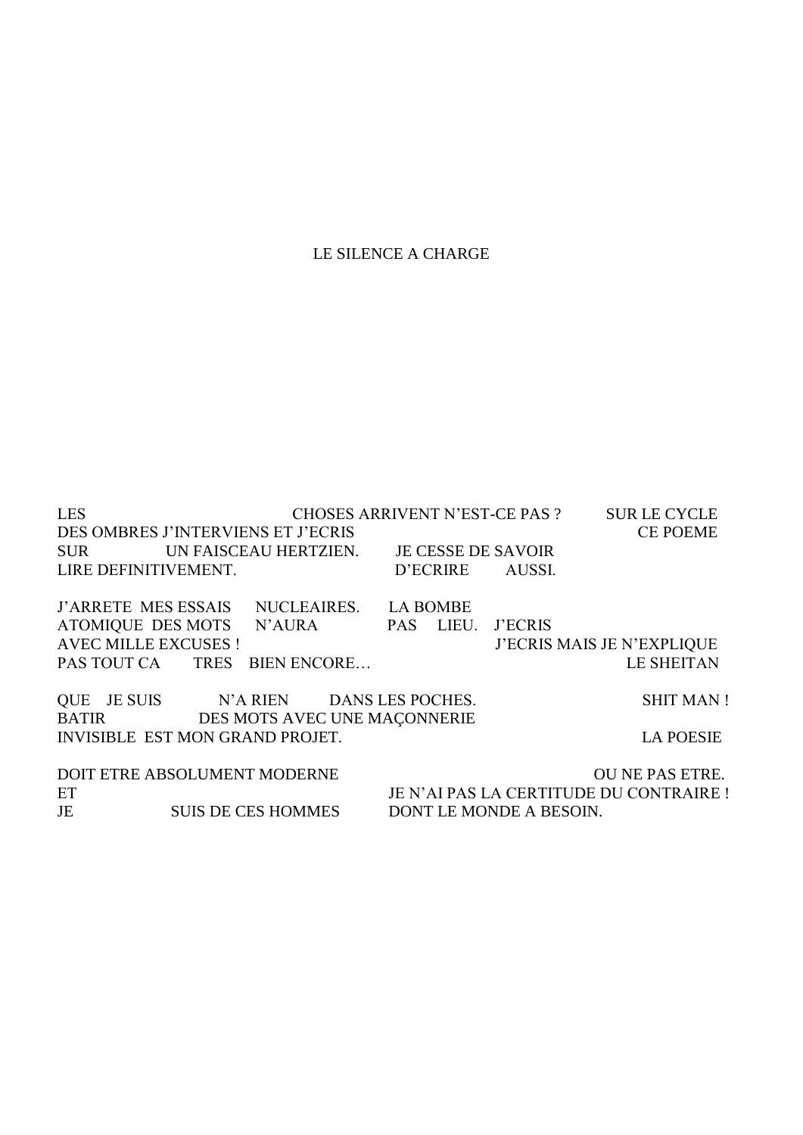# LE SILENCE A CHARGE

LES CHOSES ARRIVENT N'EST-CE PAS ? SUR LE CYCLE DES OMBRES J'INTERVIENS ET J'ECRIS CE POEME SUR UN FAISCEAU HERTZIEN. JE CESSE DE SAVOIR LIRE DEFINITIVEMENT. D'ECRIRE AUSSI. J'ARRETE MES ESSAIS NUCLEAIRES. LA BOMBE ATOMIQUE DES MOTS N'AURA PAS LIEU. J'ECRIS AVEC MILLE EXCUSES ! J'ECRIS MAIS JE N'EXPLIQUE PAS TOUT CA TRES BIEN ENCORE… LE SHEITAN QUE JE SUIS N'A RIEN DANS LES POCHES. SHIT MAN ! BATIR DES MOTS AVEC UNE MAÇONNERIE INVISIBLE EST MON GRAND PROJET. LA POESIE DOIT ETRE ABSOLUMENT MODERNE OU NE PAS ETRE. ET JE N'AI PAS LA CERTITUDE DU CONTRAIRE ! JE SUIS DE CES HOMMES DONT LE MONDE A BESOIN.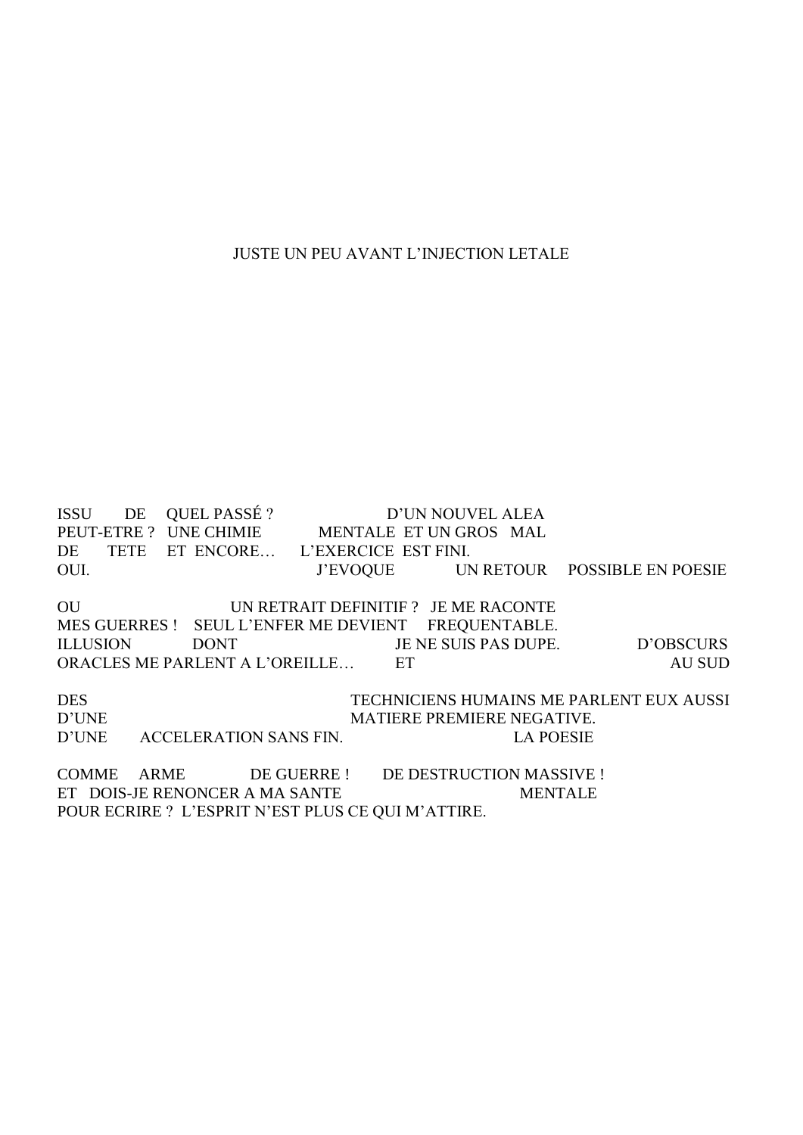#### JUSTE UN PEU AVANT L'INJECTION LETALE

ISSU DE QUEL PASSÉ ? D'UN NOUVEL ALEA PEUT-ETRE ? UNE CHIMIE MENTALE ET UN GROS MAL DE TETE ET ENCORE… L'EXERCICE EST FINI. OUI. J'EVOQUE UN RETOUR POSSIBLE EN POESIE OU UN RETRAIT DEFINITIF ? JE ME RACONTE MES GUERRES ! SEUL L'ENFER ME DEVIENT FREQUENTABLE. ILLUSION DONT JE NE SUIS PAS DUPE. D'OBSCURS ORACLES ME PARLENT A L'OREILLE... ET AU SUD

DES TECHNICIENS HUMAINS ME PARLENT EUX AUSSI D'UNE MATIERE PREMIERE NEGATIVE. D'UNE ACCELERATION SANS FIN. LA POESIE

COMME ARME DE GUERRE ! DE DESTRUCTION MASSIVE ! ET DOIS-JE RENONCER A MA SANTE MENTALE POUR ECRIRE ? L'ESPRIT N'EST PLUS CE QUI M'ATTIRE.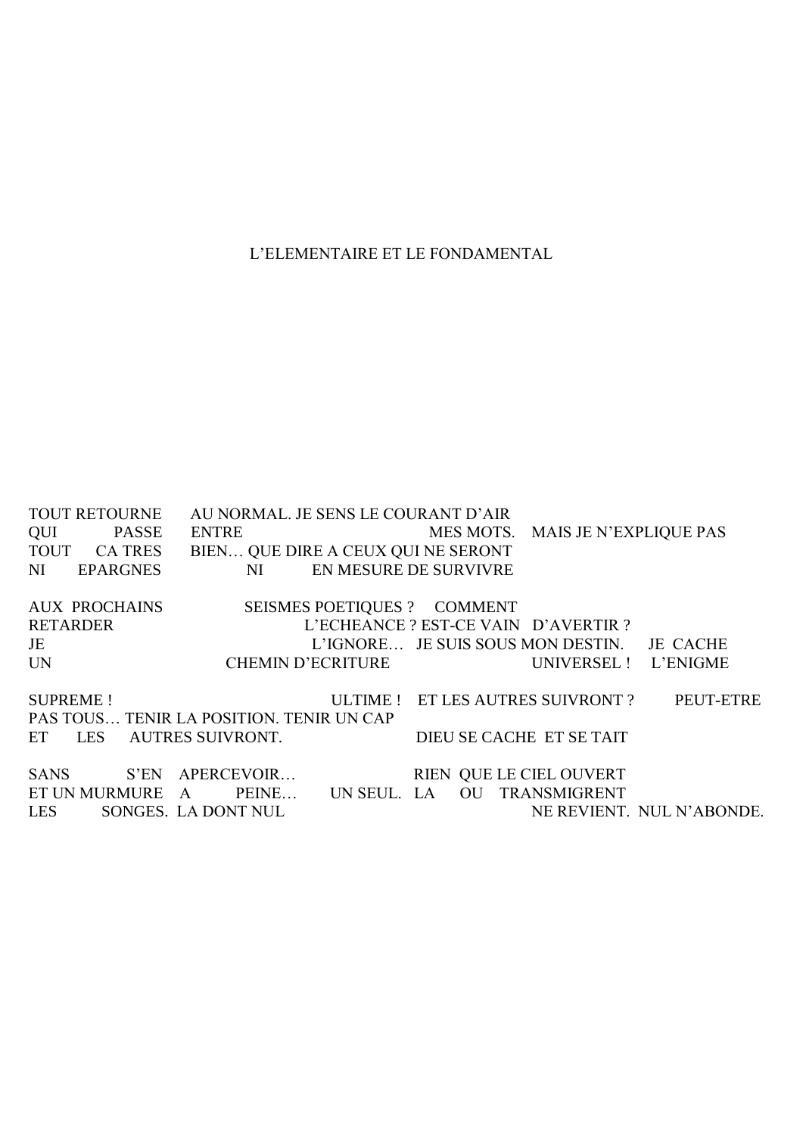### L'ELEMENTAIRE ET LE FONDAMENTAL

TOUT RETOURNE AU NORMAL. JE SENS LE COURANT D'AIR QUI PASSE ENTRE MES MOTS. MAIS JE N'EXPLIQUE PAS TOUT CA TRES BIEN… QUE DIRE A CEUX QUI NE SERONT NI EPARGNES NI EN MESURE DE SURVIVRE AUX PROCHAINS SEISMES POETIQUES ? COMMENT RETARDER L'ECHEANCE ? EST-CE VAIN D'AVERTIR ? JE L'IGNORE… JE SUIS SOUS MON DESTIN. JE CACHE UN CHEMIN D'ECRITURE UNIVERSEL ! L'ENIGME SUPREME ! ULTIME ! ET LES AUTRES SUIVRONT ? PEUT-ETRE PAS TOUS… TENIR LA POSITION. TENIR UN CAP ET LES AUTRES SUIVRONT. DIEU SE CACHE ET SE TAIT SANS S'EN APERCEVOIR… RIEN QUE LE CIEL OUVERT ET UN MURMURE A PEINE... UN SEUL. LA OU TRANSMIGRENT LES SONGES. LA DONT NUL NE REVIENT. LES SONGES. LA DONT NUL NE REVIENT. NUL N'ABONDE.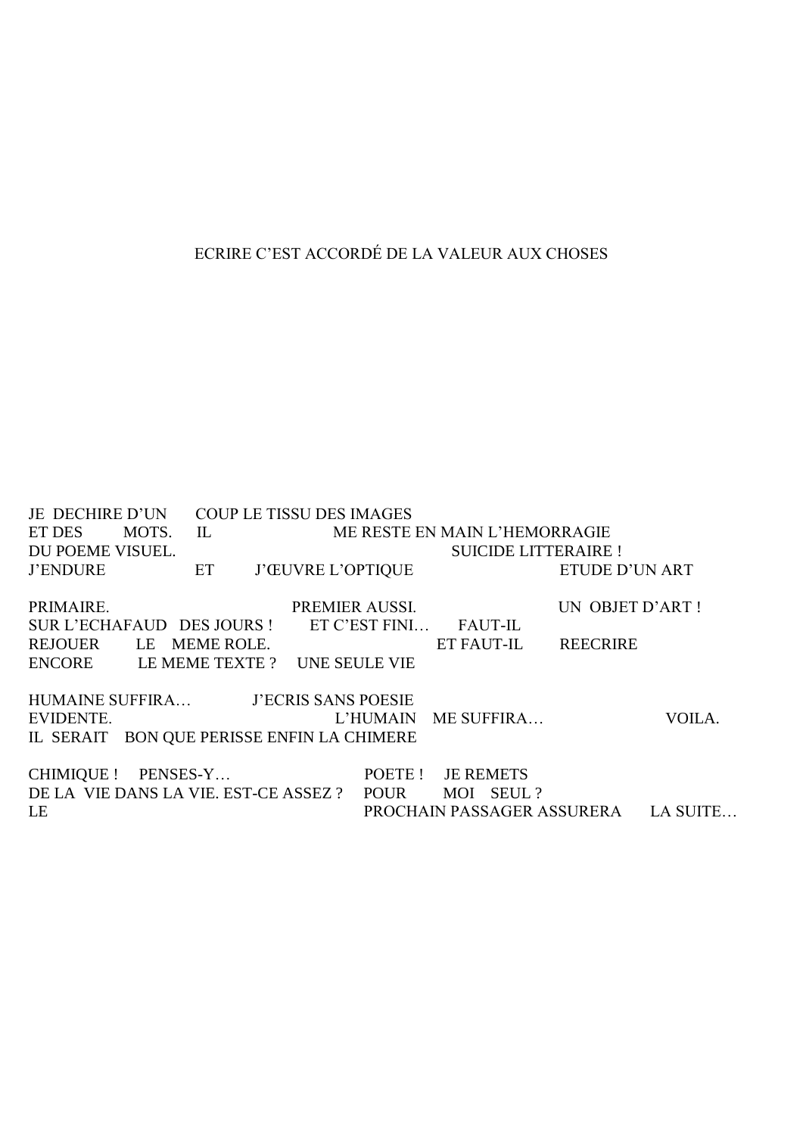# ECRIRE C'EST ACCORDÉ DE LA VALEUR AUX CHOSES

JE DECHIRE D'UN COUP LE TISSU DES IMAGES ET DES MOTS. IL ME RESTE EN MAIN L'HEMORRAGIE DU POEME VISUEL. **SUICIDE LITTERAIRE!** ET ETUDE D'UN ART **J'ENDURE J'ŒUVRE L'OPTIQUE** PRIMAIRE. PREMIER AUSSI. UN OBJET D'ART ! SUR L'ECHAFAUD DES JOURS ! ET C'EST FINI... FAUT-IL ET FAUT-IL REECRIRE REJOUER LE MEME ROLE. ENCORE LE MEME TEXTE ? UNE SEULE VIE HUMAINE SUFFIRA... J'ECRIS SANS POESIE L'HUMAIN ME SUFFIRA... EVIDENTE. VOILA. IL SERAIT BON QUE PERISSE ENFIN LA CHIMERE CHIMIOUE ! PENSES-Y... POETE ! JE REMETS DE LA VIE DANS LA VIE. EST-CE ASSEZ ? POUR MOI SEUL ? LE PROCHAIN PASSAGER ASSURERA LA SUITE...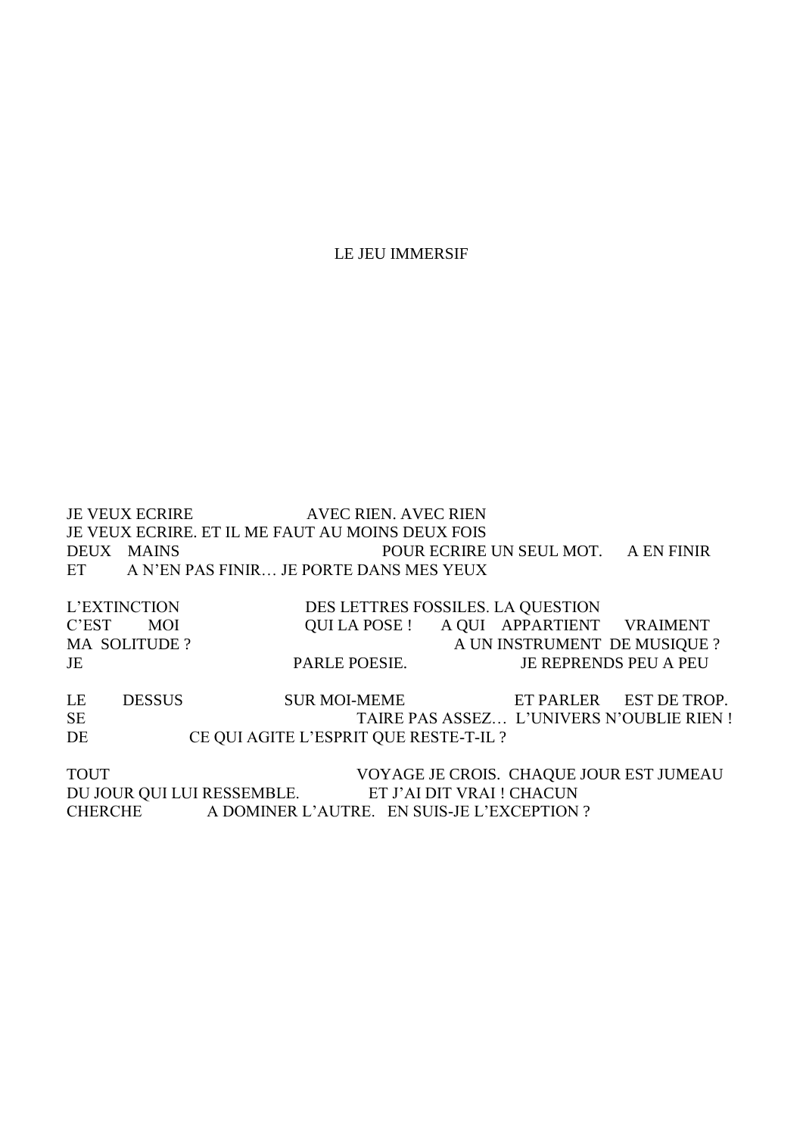LE JEU IMMERSIF

JE VEUX ECRIRE AVEC RIEN. AVEC RIEN JE VEUX ECRIRE. ET IL ME FAUT AU MOINS DEUX FOIS DEUX MAINS POUR ECRIRE UN SEUL MOT. A EN FINIR ET A N'EN PAS FINIR… JE PORTE DANS MES YEUX

L'EXTINCTION DES LETTRES FOSSILES. LA QUESTION C'EST MOI QUI LA POSE ! A QUI APPARTIENT VRAIMENT MA SOLITUDE ? A UN INSTRUMENT DE MUSIQUE ? JE PARLE POESIE. JE REPRENDS PEU A PEU

LE DESSUS SUR MOI-MEME ET PARLER EST DE TROP. SE TAIRE PAS ASSEZ... L'UNIVERS N'OUBLIE RIEN ! DE CE QUI AGITE L'ESPRIT QUE RESTE-T-IL ?

TOUT VOYAGE JE CROIS. CHAQUE JOUR EST JUMEAU DU JOUR QUI LUI RESSEMBLE. ET J'AI DIT VRAI ! CHACUN CHERCHE A DOMINER L'AUTRE. EN SUIS-JE L'EXCEPTION ?